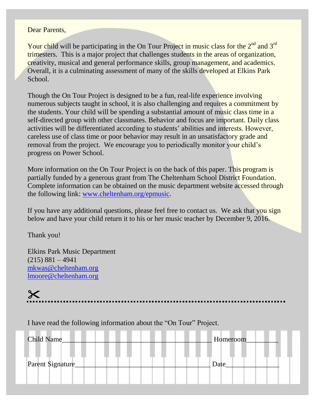## Dear Parents,

Your child will be participating in the On Tour Project in music class for the  $2<sup>nd</sup>$  and  $3<sup>rd</sup>$ trimesters. This is a major project that challenges students in the areas of organization, creativity, musical and general performance skills, group management, and academics. Overall, it is a culminating assessment of many of the skills developed at Elkins Park School.

Though the On Tour Project is designed to be a fun, real-life experience involving numerous subjects taught in school, it is also challenging and requires a commitment by the students. Your child will be spending a substantial amount of music class time in a self-directed group with other classmates. Behavior and focus are important. Daily class activities will be differentiated according to students' abilities and interests. However, careless use of class time or poor behavior may result in an unsatisfactory grade and removal from the project. We encourage you to periodically monitor your child's progress on Power School.

More information on the On Tour Project is on the back of this paper. This program is partially funded by a generous grant from The Cheltenham School District Foundation. Complete information can be obtained on the music department website accessed through the following link: [www.cheltenham.org/epmusic.](http://www.cheltenham.org/epmusic)

If you have any additional questions, please feel free to contact us. We ask that you sign below and have your child return it to his or her music teacher by December 9, 2016.

Thank you!

Elkins Park Music Department  $(215) 881 - 4941$ [mkwas@cheltenham.org](mailto:mkwas@cheltenham.org) [lmoore@cheltenham.org](mailto:lmoore@cheltenham.org)

 $\boldsymbol{\times}$ 

I have read the following information about the "On Tour" Project.

| <b>Child Name</b> | Homeroom |
|-------------------|----------|
| Parent Signature_ | Date     |